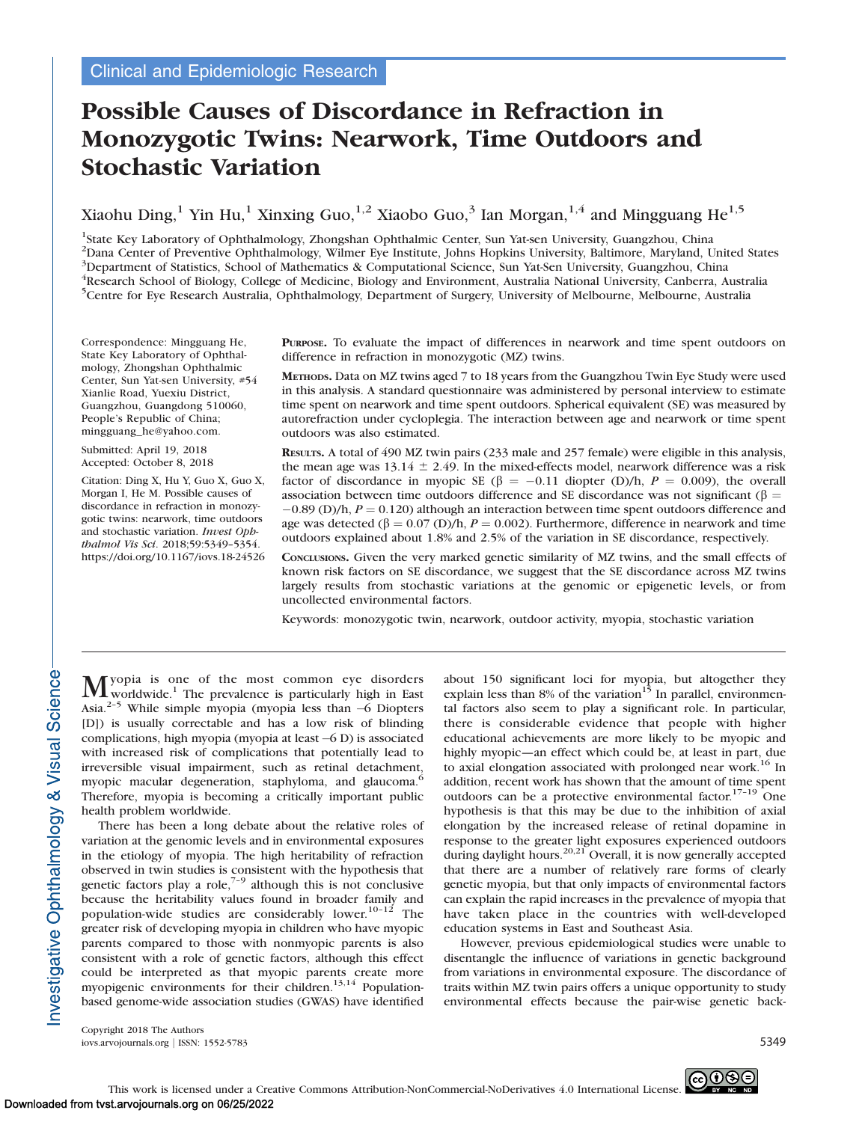# Possible Causes of Discordance in Refraction in Monozygotic Twins: Nearwork, Time Outdoors and Stochastic Variation

Xiaohu Ding,<sup>1</sup> Yin Hu,<sup>1</sup> Xinxing Guo,<sup>1,2</sup> Xiaobo Guo,<sup>3</sup> Ian Morgan,<sup>1,4</sup> and Mingguang He<sup>1,5</sup>

<sup>1</sup>State Key Laboratory of Ophthalmology, Zhongshan Ophthalmic Center, Sun Yat-sen University, Guangzhou, China <sup>2</sup>Dana Center of Preventive Ophthalmology, Wilmer Eye Institute, Johns Hopkins University, Baltimore, Maryland, United States <sup>3</sup>Department of Statistics, School of Mathematics & Computational Science, Sun Yat-Sen University, Guangzhou, China <sup>4</sup> Research School of Biology, College of Medicine, Biology and Environment, Australia National University, Canberra, Australia <sup>5</sup>Centre for Eye Research Australia, Ophthalmology, Department of Surgery, University of Melbourne, Melbourne, Australia

Correspondence: Mingguang He, State Key Laboratory of Ophthalmology, Zhongshan Ophthalmic Center, Sun Yat-sen University, #54 Xianlie Road, Yuexiu District, Guangzhou, Guangdong 510060, People's Republic of China; mingguang\_he@yahoo.com.

Submitted: April 19, 2018 Accepted: October 8, 2018

Citation: Ding X, Hu Y, Guo X, Guo X, Morgan I, He M. Possible causes of discordance in refraction in monozygotic twins: nearwork, time outdoors and stochastic variation. Invest Ophthalmol Vis Sci. 2018;59:5349–5354. https://doi.org/10.1167/iovs.18-24526 PURPOSE. To evaluate the impact of differences in nearwork and time spent outdoors on difference in refraction in monozygotic (MZ) twins.

METHODS. Data on MZ twins aged 7 to 18 years from the Guangzhou Twin Eye Study were used in this analysis. A standard questionnaire was administered by personal interview to estimate time spent on nearwork and time spent outdoors. Spherical equivalent (SE) was measured by autorefraction under cycloplegia. The interaction between age and nearwork or time spent outdoors was also estimated.

RESULTS. A total of 490 MZ twin pairs (233 male and 257 female) were eligible in this analysis, the mean age was  $13.14 \pm 2.49$ . In the mixed-effects model, nearwork difference was a risk factor of discordance in myopic SE ( $\beta = -0.11$  diopter (D)/h,  $P = 0.009$ ), the overall association between time outdoors difference and SE discordance was not significant ( $\beta$  =  $-0.89$  (D)/h,  $P = 0.120$ ) although an interaction between time spent outdoors difference and age was detected ( $\beta = 0.07$  (D)/h, P = 0.002). Furthermore, difference in nearwork and time outdoors explained about 1.8% and 2.5% of the variation in SE discordance, respectively.

CONCLUSIONS. Given the very marked genetic similarity of MZ twins, and the small effects of known risk factors on SE discordance, we suggest that the SE discordance across MZ twins largely results from stochastic variations at the genomic or epigenetic levels, or from uncollected environmental factors.

Keywords: monozygotic twin, nearwork, outdoor activity, myopia, stochastic variation

 $\mathbf{M}_{\text{worldwide.}^{1}}$  The prevalence is particularly high in East Asia.<sup>2-5</sup> While simple myopia (myopia less than -6 Diopters [D]) is usually correctable and has a low risk of blinding complications, high myopia (myopia at least -6 D) is associated with increased risk of complications that potentially lead to irreversible visual impairment, such as retinal detachment, myopic macular degeneration, staphyloma, and glaucoma.<sup>6</sup> Therefore, myopia is becoming a critically important public health problem worldwide.

There has been a long debate about the relative roles of variation at the genomic levels and in environmental exposures in the etiology of myopia. The high heritability of refraction observed in twin studies is consistent with the hypothesis that genetic factors play a role,<sup>7-9</sup> although this is not conclusive because the heritability values found in broader family and population-wide studies are considerably lower.<sup>10-12</sup> The greater risk of developing myopia in children who have myopic parents compared to those with nonmyopic parents is also consistent with a role of genetic factors, although this effect could be interpreted as that myopic parents create more myopigenic environments for their children.<sup>13,14</sup> Populationbased genome-wide association studies (GWAS) have identified about 150 significant loci for myopia, but altogether they explain less than 8% of the variation<sup>15</sup> In parallel, environmental factors also seem to play a significant role. In particular, there is considerable evidence that people with higher educational achievements are more likely to be myopic and highly myopic—an effect which could be, at least in part, due to axial elongation associated with prolonged near work.<sup>16</sup> In addition, recent work has shown that the amount of time spent outdoors can be a protective environmental factor.<sup>17-19</sup> One hypothesis is that this may be due to the inhibition of axial elongation by the increased release of retinal dopamine in response to the greater light exposures experienced outdoors during daylight hours.<sup>20,21</sup> Overall, it is now generally accepted that there are a number of relatively rare forms of clearly genetic myopia, but that only impacts of environmental factors can explain the rapid increases in the prevalence of myopia that have taken place in the countries with well-developed education systems in East and Southeast Asia.

However, previous epidemiological studies were unable to disentangle the influence of variations in genetic background from variations in environmental exposure. The discordance of traits within MZ twin pairs offers a unique opportunity to study environmental effects because the pair-wise genetic back-

Copyright 2018 The Authors iovs.arvojournals.org | ISSN: 1552-5783 5349

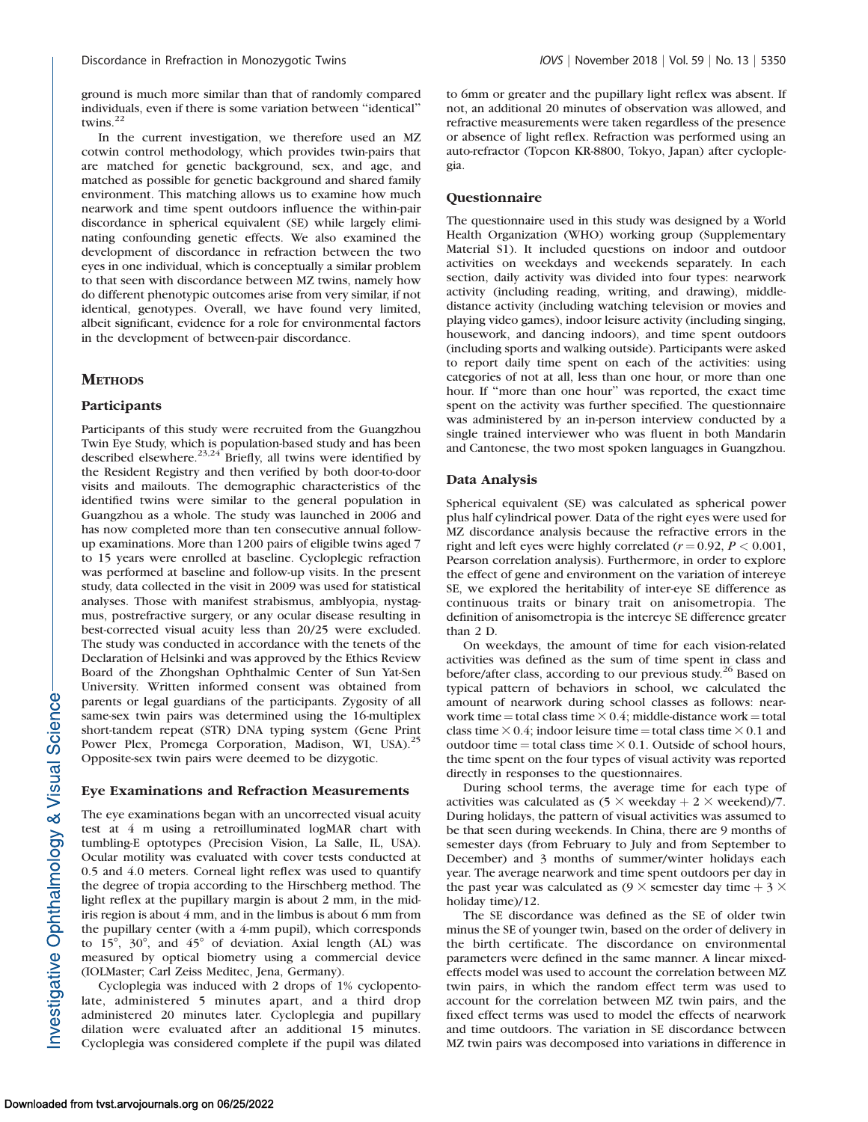ground is much more similar than that of randomly compared individuals, even if there is some variation between ''identical'' twins.<sup>22</sup>

In the current investigation, we therefore used an MZ cotwin control methodology, which provides twin-pairs that are matched for genetic background, sex, and age, and matched as possible for genetic background and shared family environment. This matching allows us to examine how much nearwork and time spent outdoors influence the within-pair discordance in spherical equivalent (SE) while largely eliminating confounding genetic effects. We also examined the development of discordance in refraction between the two eyes in one individual, which is conceptually a similar problem to that seen with discordance between MZ twins, namely how do different phenotypic outcomes arise from very similar, if not identical, genotypes. Overall, we have found very limited, albeit significant, evidence for a role for environmental factors in the development of between-pair discordance.

### **METHODS**

#### Participants

Participants of this study were recruited from the Guangzhou Twin Eye Study, which is population-based study and has been<br>described elsewhere.<sup>23,24</sup> Briefly, all twins were identified by the Resident Registry and then verified by both door-to-door visits and mailouts. The demographic characteristics of the identified twins were similar to the general population in Guangzhou as a whole. The study was launched in 2006 and has now completed more than ten consecutive annual followup examinations. More than 1200 pairs of eligible twins aged 7 to 15 years were enrolled at baseline. Cycloplegic refraction was performed at baseline and follow-up visits. In the present study, data collected in the visit in 2009 was used for statistical analyses. Those with manifest strabismus, amblyopia, nystagmus, postrefractive surgery, or any ocular disease resulting in best-corrected visual acuity less than 20/25 were excluded. The study was conducted in accordance with the tenets of the Declaration of Helsinki and was approved by the Ethics Review Board of the Zhongshan Ophthalmic Center of Sun Yat-Sen University. Written informed consent was obtained from parents or legal guardians of the participants. Zygosity of all same-sex twin pairs was determined using the 16-multiplex short-tandem repeat (STR) DNA typing system (Gene Print Power Plex, Promega Corporation, Madison, WI, USA).<sup>25</sup> Opposite-sex twin pairs were deemed to be dizygotic.

#### Eye Examinations and Refraction Measurements

The eye examinations began with an uncorrected visual acuity test at 4 m using a retroilluminated logMAR chart with tumbling-E optotypes (Precision Vision, La Salle, IL, USA). Ocular motility was evaluated with cover tests conducted at 0.5 and 4.0 meters. Corneal light reflex was used to quantify the degree of tropia according to the Hirschberg method. The light reflex at the pupillary margin is about 2 mm, in the midiris region is about 4 mm, and in the limbus is about 6 mm from the pupillary center (with a 4-mm pupil), which corresponds to  $15^\circ$ ,  $30^\circ$ , and  $45^\circ$  of deviation. Axial length (AL) was measured by optical biometry using a commercial device (IOLMaster; Carl Zeiss Meditec, Jena, Germany).

Cycloplegia was induced with 2 drops of 1% cyclopentolate, administered 5 minutes apart, and a third drop administered 20 minutes later. Cycloplegia and pupillary dilation were evaluated after an additional 15 minutes. Cycloplegia was considered complete if the pupil was dilated

to 6mm or greater and the pupillary light reflex was absent. If not, an additional 20 minutes of observation was allowed, and refractive measurements were taken regardless of the presence or absence of light reflex. Refraction was performed using an auto-refractor (Topcon KR-8800, Tokyo, Japan) after cycloplegia.

#### Questionnaire

The questionnaire used in this study was designed by a World Health Organization (WHO) working group ([Supplementary](https://iovs.arvojournals.org/data/Journals/iovs/937607/iovs-59-12-44_s01.docx) [Material S1](https://iovs.arvojournals.org/data/Journals/iovs/937607/iovs-59-12-44_s01.docx)). It included questions on indoor and outdoor activities on weekdays and weekends separately. In each section, daily activity was divided into four types: nearwork activity (including reading, writing, and drawing), middledistance activity (including watching television or movies and playing video games), indoor leisure activity (including singing, housework, and dancing indoors), and time spent outdoors (including sports and walking outside). Participants were asked to report daily time spent on each of the activities: using categories of not at all, less than one hour, or more than one hour. If "more than one hour" was reported, the exact time spent on the activity was further specified. The questionnaire was administered by an in-person interview conducted by a single trained interviewer who was fluent in both Mandarin and Cantonese, the two most spoken languages in Guangzhou.

### Data Analysis

Spherical equivalent (SE) was calculated as spherical power plus half cylindrical power. Data of the right eyes were used for MZ discordance analysis because the refractive errors in the right and left eyes were highly correlated ( $r = 0.92$ ,  $P < 0.001$ , Pearson correlation analysis). Furthermore, in order to explore the effect of gene and environment on the variation of intereye SE, we explored the heritability of inter-eye SE difference as continuous traits or binary trait on anisometropia. The definition of anisometropia is the intereye SE difference greater than 2 D.

On weekdays, the amount of time for each vision-related activities was defined as the sum of time spent in class and before/after class, according to our previous study.<sup>26</sup> Based on typical pattern of behaviors in school, we calculated the amount of nearwork during school classes as follows: nearwork time  $=$  total class time  $\times$  0.4; middle-distance work  $=$  total class time  $\times$  0.4; indoor leisure time = total class time  $\times$  0.1 and outdoor time  $=$  total class time  $\times$  0.1. Outside of school hours, the time spent on the four types of visual activity was reported directly in responses to the questionnaires.

During school terms, the average time for each type of activities was calculated as  $(5 \times \text{weekday} + 2 \times \text{weekend})/7$ . During holidays, the pattern of visual activities was assumed to be that seen during weekends. In China, there are 9 months of semester days (from February to July and from September to December) and 3 months of summer/winter holidays each year. The average nearwork and time spent outdoors per day in the past year was calculated as  $(9 \times$  semester day time  $+3 \times$ holiday time)/12.

The SE discordance was defined as the SE of older twin minus the SE of younger twin, based on the order of delivery in the birth certificate. The discordance on environmental parameters were defined in the same manner. A linear mixedeffects model was used to account the correlation between MZ twin pairs, in which the random effect term was used to account for the correlation between MZ twin pairs, and the fixed effect terms was used to model the effects of nearwork and time outdoors. The variation in SE discordance between MZ twin pairs was decomposed into variations in difference in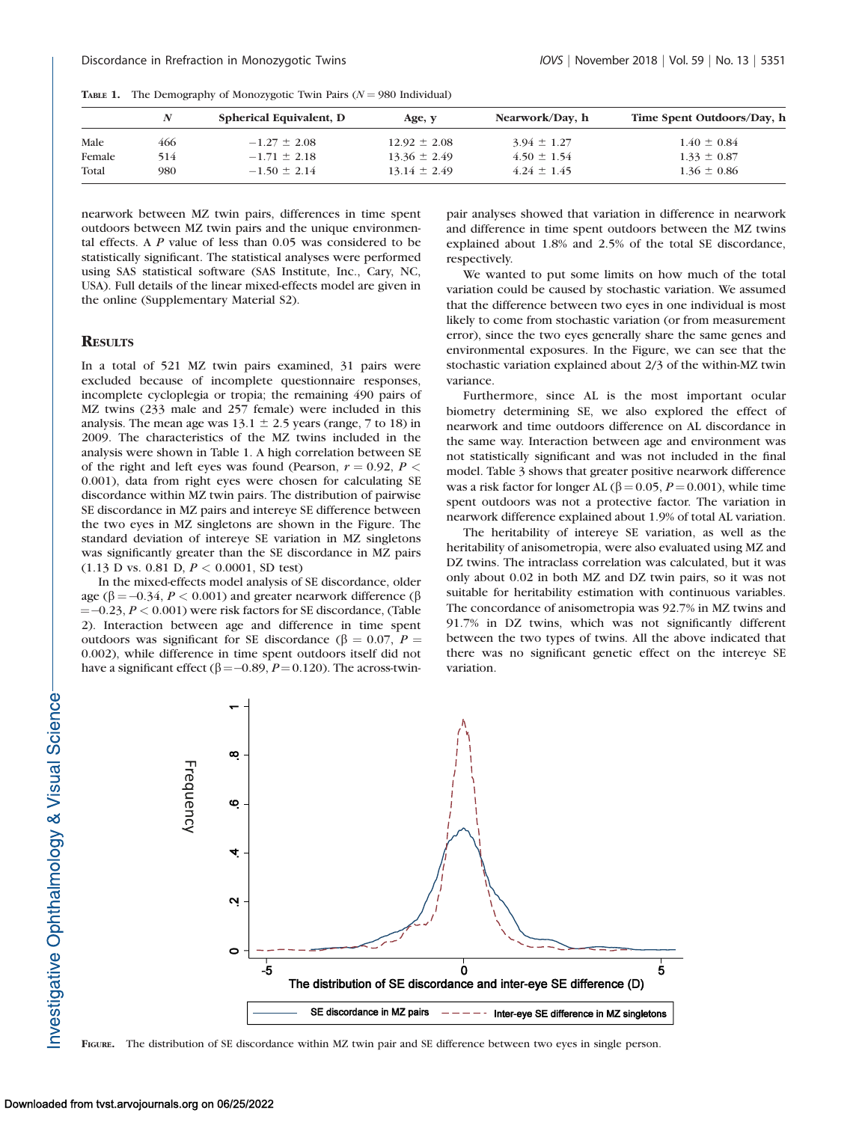|  | <b>TABLE 1.</b> The Demography of Monozygotic Twin Pairs ( $N = 980$ Individual) |  |  |  |  |
|--|----------------------------------------------------------------------------------|--|--|--|--|
|--|----------------------------------------------------------------------------------|--|--|--|--|

|        |     | Spherical Equivalent, D. | Age, y           | Nearwork/Day, h | Time Spent Outdoors/Day, h |
|--------|-----|--------------------------|------------------|-----------------|----------------------------|
| Male   | 466 | $-1.27 \pm 2.08$         | $12.92 \pm 2.08$ | $3.94 \pm 1.27$ | $1.40 \pm 0.84$            |
| Female | 514 | $-1.71 \pm 2.18$         | $13.36 \pm 2.49$ | $4.50 \pm 1.54$ | $1.33 \pm 0.87$            |
| Total  | 980 | $-1.50 \pm 2.14$         | $13.14 \pm 2.49$ | $4.24 \pm 1.45$ | $1.36 \pm 0.86$            |

nearwork between MZ twin pairs, differences in time spent outdoors between MZ twin pairs and the unique environmental effects. A  $P$  value of less than 0.05 was considered to be statistically significant. The statistical analyses were performed using SAS statistical software (SAS Institute, Inc., Cary, NC, USA). Full details of the linear mixed-effects model are given in the online ([Supplementary Material S2](https://iovs.arvojournals.org/data/Journals/iovs/937607/iovs-59-12-44_s02.doc)).

## **RESULTS**

In a total of 521 MZ twin pairs examined, 31 pairs were excluded because of incomplete questionnaire responses, incomplete cycloplegia or tropia; the remaining 490 pairs of MZ twins (233 male and 257 female) were included in this analysis. The mean age was  $13.1 \pm 2.5$  years (range, 7 to 18) in 2009. The characteristics of the MZ twins included in the analysis were shown in Table 1. A high correlation between SE of the right and left eyes was found (Pearson,  $r = 0.92$ ,  $P <$ 0.001), data from right eyes were chosen for calculating SE discordance within MZ twin pairs. The distribution of pairwise SE discordance in MZ pairs and intereye SE difference between the two eyes in MZ singletons are shown in the Figure. The standard deviation of intereye SE variation in MZ singletons was significantly greater than the SE discordance in MZ pairs (1.13 D vs. 0.81 D,  $P < 0.0001$ , SD test)

In the mixed-effects model analysis of SE discordance, older age ( $\beta = -0.34, P < 0.001$ ) and greater nearwork difference ( $\beta$  $=$  -0.23,  $P$  < 0.001) were risk factors for SE discordance, (Table 2). Interaction between age and difference in time spent outdoors was significant for SE discordance ( $\beta = 0.07$ ,  $P =$ 0.002), while difference in time spent outdoors itself did not have a significant effect ( $\beta = -0.89$ ,  $P = 0.120$ ). The across-twinpair analyses showed that variation in difference in nearwork and difference in time spent outdoors between the MZ twins explained about 1.8% and 2.5% of the total SE discordance, respectively.

We wanted to put some limits on how much of the total variation could be caused by stochastic variation. We assumed that the difference between two eyes in one individual is most likely to come from stochastic variation (or from measurement error), since the two eyes generally share the same genes and environmental exposures. In the Figure, we can see that the stochastic variation explained about 2/3 of the within-MZ twin variance.

Furthermore, since AL is the most important ocular biometry determining SE, we also explored the effect of nearwork and time outdoors difference on AL discordance in the same way. Interaction between age and environment was not statistically significant and was not included in the final model. Table 3 shows that greater positive nearwork difference was a risk factor for longer AL ( $\beta$  = 0.05, P = 0.001), while time spent outdoors was not a protective factor. The variation in nearwork difference explained about 1.9% of total AL variation.

The heritability of intereye SE variation, as well as the heritability of anisometropia, were also evaluated using MZ and DZ twins. The intraclass correlation was calculated, but it was only about 0.02 in both MZ and DZ twin pairs, so it was not suitable for heritability estimation with continuous variables. The concordance of anisometropia was 92.7% in MZ twins and 91.7% in DZ twins, which was not significantly different between the two types of twins. All the above indicated that there was no significant genetic effect on the intereye SE variation.



FIGURE. The distribution of SE discordance within MZ twin pair and SE difference between two eyes in single person.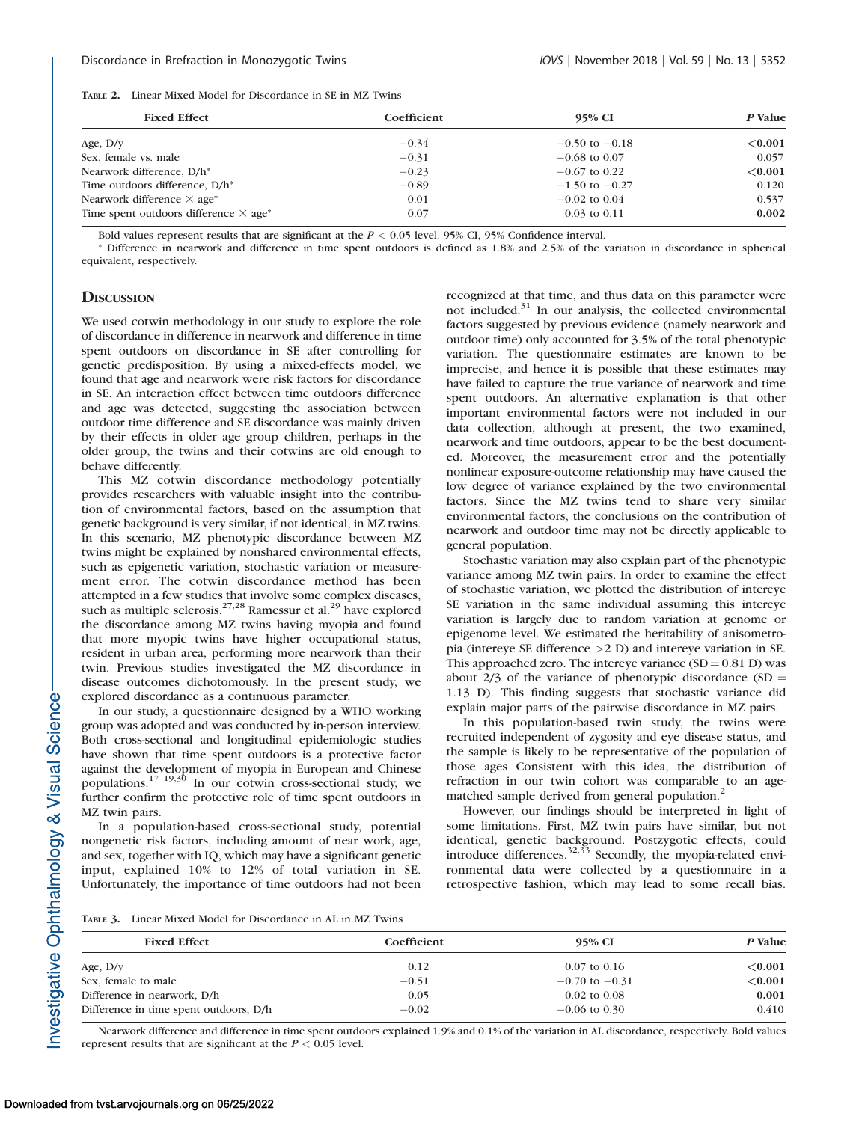|  |  |  |  |  | <b>TABLE 2.</b> Linear Mixed Model for Discordance in SE in MZ Twins |  |  |  |  |  |
|--|--|--|--|--|----------------------------------------------------------------------|--|--|--|--|--|
|--|--|--|--|--|----------------------------------------------------------------------|--|--|--|--|--|

| <b>Fixed Effect</b>                          | Coefficient | 95% CI             | P Value    |
|----------------------------------------------|-------------|--------------------|------------|
| Age, $D/y$                                   | $-0.34$     | $-0.50$ to $-0.18$ | ${<}0.001$ |
| Sex, female vs. male                         | $-0.31$     | $-0.68$ to 0.07    | 0.057      |
| Nearwork difference, D/h*                    | $-0.23$     | $-0.67$ to 0.22    | ${<}0.001$ |
| Time outdoors difference, D/h <sup>*</sup>   | $-0.89$     | $-1.50$ to $-0.27$ | 0.120      |
| Nearwork difference $\times$ age*            | 0.01        | $-0.02$ to $0.04$  | 0.537      |
| Time spent outdoors difference $\times$ age* | 0.07        | $0.03$ to $0.11$   | 0.002      |

Bold values represent results that are significant at the  $P < 0.05$  level. 95% CI, 95% Confidence interval.

\* Difference in nearwork and difference in time spent outdoors is defined as 1.8% and 2.5% of the variation in discordance in spherical equivalent, respectively.

#### **DISCUSSION**

We used cotwin methodology in our study to explore the role of discordance in difference in nearwork and difference in time spent outdoors on discordance in SE after controlling for genetic predisposition. By using a mixed-effects model, we found that age and nearwork were risk factors for discordance in SE. An interaction effect between time outdoors difference and age was detected, suggesting the association between outdoor time difference and SE discordance was mainly driven by their effects in older age group children, perhaps in the older group, the twins and their cotwins are old enough to behave differently.

This MZ cotwin discordance methodology potentially provides researchers with valuable insight into the contribution of environmental factors, based on the assumption that genetic background is very similar, if not identical, in MZ twins. In this scenario, MZ phenotypic discordance between MZ twins might be explained by nonshared environmental effects, such as epigenetic variation, stochastic variation or measurement error. The cotwin discordance method has been attempted in a few studies that involve some complex diseases, such as multiple sclerosis.<sup>27,28</sup> Ramessur et al.<sup>29</sup> have explored the discordance among MZ twins having myopia and found that more myopic twins have higher occupational status, resident in urban area, performing more nearwork than their twin. Previous studies investigated the MZ discordance in disease outcomes dichotomously. In the present study, we explored discordance as a continuous parameter.

In our study, a questionnaire designed by a WHO working group was adopted and was conducted by in-person interview. Both cross-sectional and longitudinal epidemiologic studies have shown that time spent outdoors is a protective factor against the development of myopia in European and Chinese populations.<sup>17-19,30</sup> In our cotwin cross-sectional study, we further confirm the protective role of time spent outdoors in MZ twin pairs.

In a population-based cross-sectional study, potential nongenetic risk factors, including amount of near work, age, and sex, together with IQ, which may have a significant genetic input, explained 10% to 12% of total variation in SE. Unfortunately, the importance of time outdoors had not been recognized at that time, and thus data on this parameter were not included. $31$  In our analysis, the collected environmental factors suggested by previous evidence (namely nearwork and outdoor time) only accounted for 3.5% of the total phenotypic variation. The questionnaire estimates are known to be imprecise, and hence it is possible that these estimates may have failed to capture the true variance of nearwork and time spent outdoors. An alternative explanation is that other important environmental factors were not included in our data collection, although at present, the two examined, nearwork and time outdoors, appear to be the best documented. Moreover, the measurement error and the potentially nonlinear exposure-outcome relationship may have caused the low degree of variance explained by the two environmental factors. Since the MZ twins tend to share very similar environmental factors, the conclusions on the contribution of nearwork and outdoor time may not be directly applicable to general population.

Stochastic variation may also explain part of the phenotypic variance among MZ twin pairs. In order to examine the effect of stochastic variation, we plotted the distribution of intereye SE variation in the same individual assuming this intereye variation is largely due to random variation at genome or epigenome level. We estimated the heritability of anisometropia (intereye SE difference >2 D) and intereye variation in SE. This approached zero. The intereye variance  $(SD = 0.81 \text{ D})$  was about  $2/3$  of the variance of phenotypic discordance (SD = 1.13 D). This finding suggests that stochastic variance did explain major parts of the pairwise discordance in MZ pairs.

In this population-based twin study, the twins were recruited independent of zygosity and eye disease status, and the sample is likely to be representative of the population of those ages Consistent with this idea, the distribution of refraction in our twin cohort was comparable to an agematched sample derived from general population.<sup>2</sup>

However, our findings should be interpreted in light of some limitations. First, MZ twin pairs have similar, but not identical, genetic background. Postzygotic effects, could introduce differences. $32,33$  Secondly, the myopia-related environmental data were collected by a questionnaire in a retrospective fashion, which may lead to some recall bias.

TABLE 3. Linear Mixed Model for Discordance in AL in MZ Twins

| <b>Fixed Effect</b>                    | Coefficient | 95% CI                  | P Value    |
|----------------------------------------|-------------|-------------------------|------------|
| Age, $D/y$                             | 0.12        | $0.07$ to $0.16$        | ${<}0.001$ |
| Sex, female to male                    | $-0.51$     | $-0.70$ to $-0.31$      | ${<}0.001$ |
| Difference in nearwork, D/h            | 0.05        | $0.02 \text{ to } 0.08$ | 0.001      |
| Difference in time spent outdoors, D/h | $-0.02$     | $-0.06$ to 0.30         | 0.410      |

Nearwork difference and difference in time spent outdoors explained 1.9% and 0.1% of the variation in AL discordance, respectively. Bold values represent results that are significant at the  $P < 0.05$  level.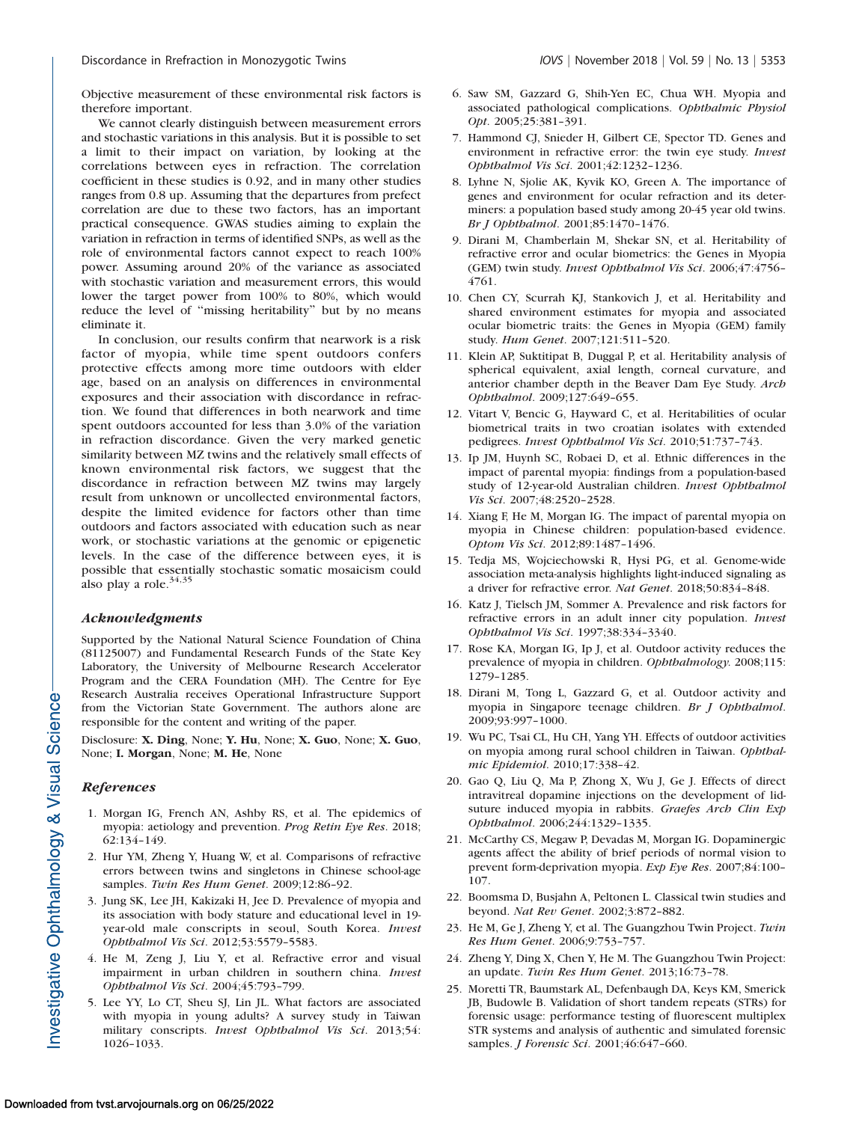Objective measurement of these environmental risk factors is therefore important.

We cannot clearly distinguish between measurement errors and stochastic variations in this analysis. But it is possible to set a limit to their impact on variation, by looking at the correlations between eyes in refraction. The correlation coefficient in these studies is 0.92, and in many other studies ranges from 0.8 up. Assuming that the departures from prefect correlation are due to these two factors, has an important practical consequence. GWAS studies aiming to explain the variation in refraction in terms of identified SNPs, as well as the role of environmental factors cannot expect to reach 100% power. Assuming around 20% of the variance as associated with stochastic variation and measurement errors, this would lower the target power from 100% to 80%, which would reduce the level of ''missing heritability'' but by no means eliminate it.

In conclusion, our results confirm that nearwork is a risk factor of myopia, while time spent outdoors confers protective effects among more time outdoors with elder age, based on an analysis on differences in environmental exposures and their association with discordance in refraction. We found that differences in both nearwork and time spent outdoors accounted for less than 3.0% of the variation in refraction discordance. Given the very marked genetic similarity between MZ twins and the relatively small effects of known environmental risk factors, we suggest that the discordance in refraction between MZ twins may largely result from unknown or uncollected environmental factors, despite the limited evidence for factors other than time outdoors and factors associated with education such as near work, or stochastic variations at the genomic or epigenetic levels. In the case of the difference between eyes, it is possible that essentially stochastic somatic mosaicism could also play a role.<sup>34,35</sup>

#### Acknowledgments

Supported by the National Natural Science Foundation of China (81125007) and Fundamental Research Funds of the State Key Laboratory, the University of Melbourne Research Accelerator Program and the CERA Foundation (MH). The Centre for Eye Research Australia receives Operational Infrastructure Support from the Victorian State Government. The authors alone are responsible for the content and writing of the paper.

Disclosure: X. Ding, None; Y. Hu, None; X. Guo, None; X. Guo, None; I. Morgan, None; M. He, None

## **References**

- 1. Morgan IG, French AN, Ashby RS, et al. The epidemics of myopia: aetiology and prevention. Prog Retin Eye Res. 2018; 62:134–149.
- 2. Hur YM, Zheng Y, Huang W, et al. Comparisons of refractive errors between twins and singletons in Chinese school-age samples. Twin Res Hum Genet. 2009;12:86–92.
- 3. Jung SK, Lee JH, Kakizaki H, Jee D. Prevalence of myopia and its association with body stature and educational level in 19 year-old male conscripts in seoul, South Korea. Invest Ophthalmol Vis Sci. 2012;53:5579–5583.
- 4. He M, Zeng J, Liu Y, et al. Refractive error and visual impairment in urban children in southern china. Invest Ophthalmol Vis Sci. 2004;45:793–799.
- 5. Lee YY, Lo CT, Sheu SJ, Lin JL. What factors are associated with myopia in young adults? A survey study in Taiwan military conscripts. Invest Ophthalmol Vis Sci. 2013;54: 1026–1033.
- 6. Saw SM, Gazzard G, Shih-Yen EC, Chua WH. Myopia and associated pathological complications. Ophthalmic Physiol Opt. 2005;25:381–391.
- 7. Hammond CJ, Snieder H, Gilbert CE, Spector TD. Genes and environment in refractive error: the twin eye study. Invest Ophthalmol Vis Sci. 2001;42:1232–1236.
- 8. Lyhne N, Sjolie AK, Kyvik KO, Green A. The importance of genes and environment for ocular refraction and its determiners: a population based study among 20-45 year old twins. Br J Ophthalmol. 2001;85:1470–1476.
- 9. Dirani M, Chamberlain M, Shekar SN, et al. Heritability of refractive error and ocular biometrics: the Genes in Myopia (GEM) twin study. Invest Ophthalmol Vis Sci. 2006;47:4756– 4761.
- 10. Chen CY, Scurrah KJ, Stankovich J, et al. Heritability and shared environment estimates for myopia and associated ocular biometric traits: the Genes in Myopia (GEM) family study. Hum Genet. 2007;121:511–520.
- 11. Klein AP, Suktitipat B, Duggal P, et al. Heritability analysis of spherical equivalent, axial length, corneal curvature, and anterior chamber depth in the Beaver Dam Eye Study. Arch Ophthalmol. 2009;127:649–655.
- 12. Vitart V, Bencic G, Hayward C, et al. Heritabilities of ocular biometrical traits in two croatian isolates with extended pedigrees. Invest Ophthalmol Vis Sci. 2010;51:737–743.
- 13. Ip JM, Huynh SC, Robaei D, et al. Ethnic differences in the impact of parental myopia: findings from a population-based study of 12-year-old Australian children. Invest Ophthalmol Vis Sci. 2007;48:2520–2528.
- 14. Xiang F, He M, Morgan IG. The impact of parental myopia on myopia in Chinese children: population-based evidence. Optom Vis Sci. 2012;89:1487–1496.
- 15. Tedja MS, Wojciechowski R, Hysi PG, et al. Genome-wide association meta-analysis highlights light-induced signaling as a driver for refractive error. Nat Genet. 2018;50:834–848.
- 16. Katz J, Tielsch JM, Sommer A. Prevalence and risk factors for refractive errors in an adult inner city population. Invest Ophthalmol Vis Sci. 1997;38:334–3340.
- 17. Rose KA, Morgan IG, Ip J, et al. Outdoor activity reduces the prevalence of myopia in children. Ophthalmology. 2008;115: 1279–1285.
- 18. Dirani M, Tong L, Gazzard G, et al. Outdoor activity and myopia in Singapore teenage children. Br J Ophthalmol. 2009;93:997–1000.
- 19. Wu PC, Tsai CL, Hu CH, Yang YH. Effects of outdoor activities on myopia among rural school children in Taiwan. Ophthalmic Epidemiol. 2010;17:338–42.
- 20. Gao Q, Liu Q, Ma P, Zhong X, Wu J, Ge J. Effects of direct intravitreal dopamine injections on the development of lidsuture induced myopia in rabbits. Graefes Arch Clin Exp Ophthalmol. 2006;244:1329–1335.
- 21. McCarthy CS, Megaw P, Devadas M, Morgan IG. Dopaminergic agents affect the ability of brief periods of normal vision to prevent form-deprivation myopia. Exp Eye Res. 2007;84:100– 107.
- 22. Boomsma D, Busjahn A, Peltonen L. Classical twin studies and beyond. Nat Rev Genet. 2002;3:872–882.
- 23. He M, Ge J, Zheng Y, et al. The Guangzhou Twin Project. Twin Res Hum Genet. 2006;9:753–757.
- 24. Zheng Y, Ding X, Chen Y, He M. The Guangzhou Twin Project: an update. Twin Res Hum Genet. 2013;16:73–78.
- 25. Moretti TR, Baumstark AL, Defenbaugh DA, Keys KM, Smerick JB, Budowle B. Validation of short tandem repeats (STRs) for forensic usage: performance testing of fluorescent multiplex STR systems and analysis of authentic and simulated forensic samples. *J Forensic Sci.* 2001;46:647-660.